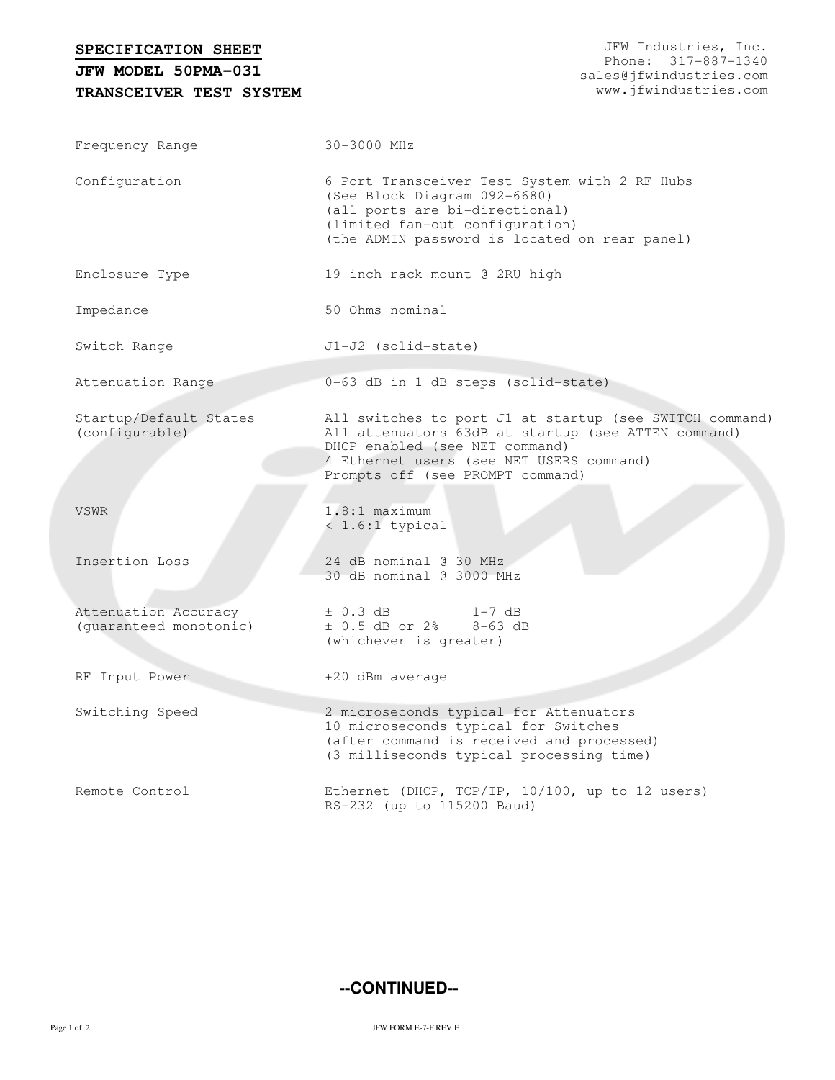| SPECIFICATION SHEET |  |
|---------------------|--|

**TRANSCEIVER TEST SYSTEM JFW MODEL 50PMA-031**

| Frequency Range                                | 30-3000 MHz                                                                                                                                                                                                                      |  |  |  |  |
|------------------------------------------------|----------------------------------------------------------------------------------------------------------------------------------------------------------------------------------------------------------------------------------|--|--|--|--|
| Configuration                                  | 6 Port Transceiver Test System with 2 RF Hubs<br>(See Block Diagram 092-6680)<br>(all ports are bi-directional)<br>(limited fan-out configuration)<br>(the ADMIN password is located on rear panel)                              |  |  |  |  |
| Enclosure Type                                 | 19 inch rack mount @ 2RU high                                                                                                                                                                                                    |  |  |  |  |
| Impedance                                      | 50 Ohms nominal                                                                                                                                                                                                                  |  |  |  |  |
| Switch Range                                   | J1-J2 (solid-state)                                                                                                                                                                                                              |  |  |  |  |
| Attenuation Range                              | 0-63 dB in 1 dB steps (solid-state)                                                                                                                                                                                              |  |  |  |  |
| Startup/Default States<br>(configurable)       | All switches to port J1 at startup (see SWITCH command)<br>All attenuators 63dB at startup (see ATTEN command)<br>DHCP enabled (see NET command)<br>4 Ethernet users (see NET USERS command)<br>Prompts off (see PROMPT command) |  |  |  |  |
| <b>VSWR</b>                                    | $1.8:1$ maximum<br>$< 1.6:1$ typical                                                                                                                                                                                             |  |  |  |  |
| Insertion Loss                                 | 24 dB nominal @ 30 MHz<br>30 dB nominal @ 3000 MHz                                                                                                                                                                               |  |  |  |  |
| Attenuation Accuracy<br>(guaranteed monotonic) | $\pm$ 0.3 dB<br>1-7 dB<br>$\pm$ 0.5 dB or 2% 8-63 dB<br>(whichever is greater)                                                                                                                                                   |  |  |  |  |
| RF Input Power                                 | +20 dBm average                                                                                                                                                                                                                  |  |  |  |  |
| Switching Speed                                | 2 microseconds typical for Attenuators<br>10 microseconds typical for Switches<br>(after command is received and processed)<br>(3 milliseconds typical processing time)                                                          |  |  |  |  |
| Remote Control                                 | Ethernet (DHCP, TCP/IP, 10/100, up to 12 users)<br>RS-232 (up to 115200 Baud)                                                                                                                                                    |  |  |  |  |

**--CONTINUED--**